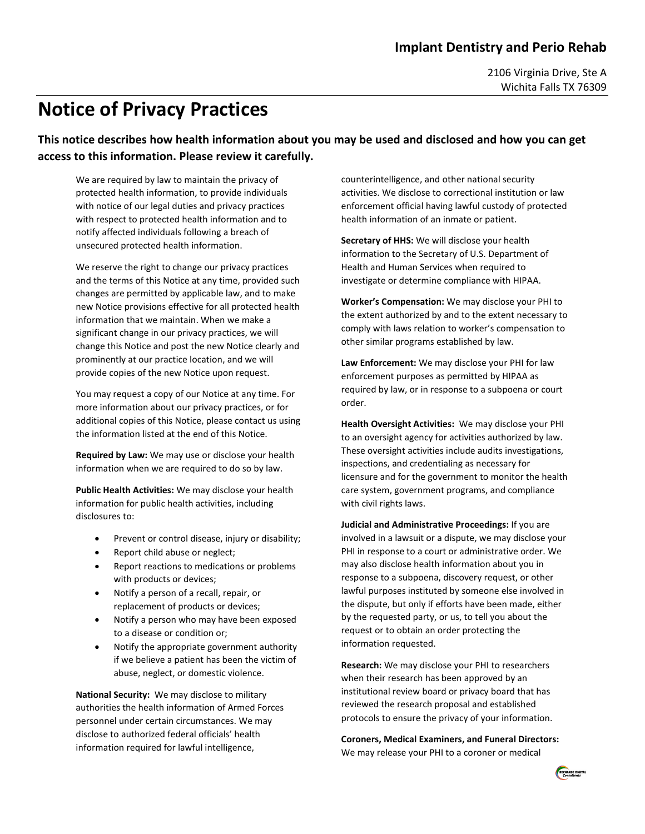2106 Virginia Drive, Ste A Wichita Falls TX 76309

## **Notice of Privacy Practices**

**This notice describes how health information about you may be used and disclosed and how you can get access to this information. Please review it carefully.**

We are required by law to maintain the privacy of protected health information, to provide individuals with notice of our legal duties and privacy practices with respect to protected health information and to notify affected individuals following a breach of unsecured protected health information.

We reserve the right to change our privacy practices and the terms of this Notice at any time, provided such changes are permitted by applicable law, and to make new Notice provisions effective for all protected health information that we maintain. When we make a significant change in our privacy practices, we will change this Notice and post the new Notice clearly and prominently at our practice location, and we will provide copies of the new Notice upon request.

You may request a copy of our Notice at any time. For more information about our privacy practices, or for additional copies of this Notice, please contact us using the information listed at the end of this Notice.

**Required by Law:** We may use or disclose your health information when we are required to do so by law.

**Public Health Activities:** We may disclose your health information for public health activities, including disclosures to:

- Prevent or control disease, injury or disability;
- Report child abuse or neglect;
- Report reactions to medications or problems with products or devices;
- Notify a person of a recall, repair, or replacement of products or devices;
- Notify a person who may have been exposed to a disease or condition or;
- Notify the appropriate government authority if we believe a patient has been the victim of abuse, neglect, or domestic violence.

**National Security:** We may disclose to military authorities the health information of Armed Forces personnel under certain circumstances. We may disclose to authorized federal officials' health information required for lawful intelligence,

counterintelligence, and other national security activities. We disclose to correctional institution or law enforcement official having lawful custody of protected health information of an inmate or patient.

**Secretary of HHS:** We will disclose your health information to the Secretary of U.S. Department of Health and Human Services when required to investigate or determine compliance with HIPAA.

**Worker's Compensation:** We may disclose your PHI to the extent authorized by and to the extent necessary to comply with laws relation to worker's compensation to other similar programs established by law.

**Law Enforcement:** We may disclose your PHI for law enforcement purposes as permitted by HIPAA as required by law, or in response to a subpoena or court order.

**Health Oversight Activities:** We may disclose your PHI to an oversight agency for activities authorized by law. These oversight activities include audits investigations, inspections, and credentialing as necessary for licensure and for the government to monitor the health care system, government programs, and compliance with civil rights laws.

**Judicial and Administrative Proceedings:** If you are involved in a lawsuit or a dispute, we may disclose your PHI in response to a court or administrative order. We may also disclose health information about you in response to a subpoena, discovery request, or other lawful purposes instituted by someone else involved in the dispute, but only if efforts have been made, either by the requested party, or us, to tell you about the request or to obtain an order protecting the information requested.

**Research:** We may disclose your PHI to researchers when their research has been approved by an institutional review board or privacy board that has reviewed the research proposal and established protocols to ensure the privacy of your information.

## **Coroners, Medical Examiners, and Funeral Directors:**

We may release your PHI to a coroner or medical